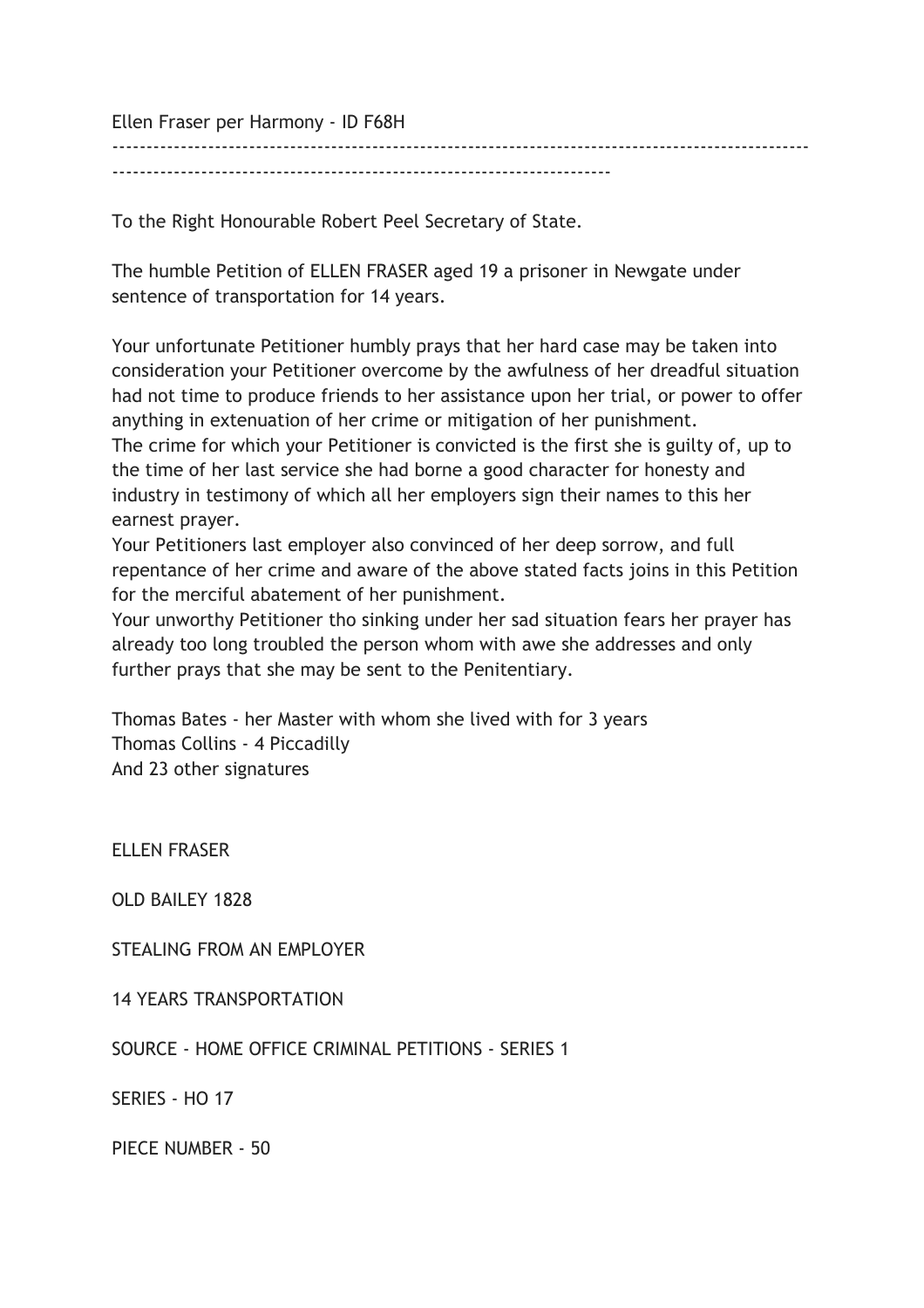Ellen Fraser per Harmony - ID F68H

-------------------------------------------------------------------------

To the Right Honourable Robert Peel Secretary of State.

The humble Petition of ELLEN FRASER aged 19 a prisoner in Newgate under sentence of transportation for 14 years.

------------------------------------------------------------------------------------------------------

Your unfortunate Petitioner humbly prays that her hard case may be taken into consideration your Petitioner overcome by the awfulness of her dreadful situation had not time to produce friends to her assistance upon her trial, or power to offer anything in extenuation of her crime or mitigation of her punishment. The crime for which your Petitioner is convicted is the first she is guilty of, up to the time of her last service she had borne a good character for honesty and industry in testimony of which all her employers sign their names to this her earnest prayer.

Your Petitioners last employer also convinced of her deep sorrow, and full repentance of her crime and aware of the above stated facts joins in this Petition for the merciful abatement of her punishment.

Your unworthy Petitioner tho sinking under her sad situation fears her prayer has already too long troubled the person whom with awe she addresses and only further prays that she may be sent to the Penitentiary.

Thomas Bates - her Master with whom she lived with for 3 years Thomas Collins - 4 Piccadilly And 23 other signatures

ELLEN FRASER

OLD BAILEY 1828

STEALING FROM AN EMPLOYER

14 YEARS TRANSPORTATION

SOURCE - HOME OFFICE CRIMINAL PETITIONS - SERIES 1

SERIES - HO 17

PIECE NUMBER - 50